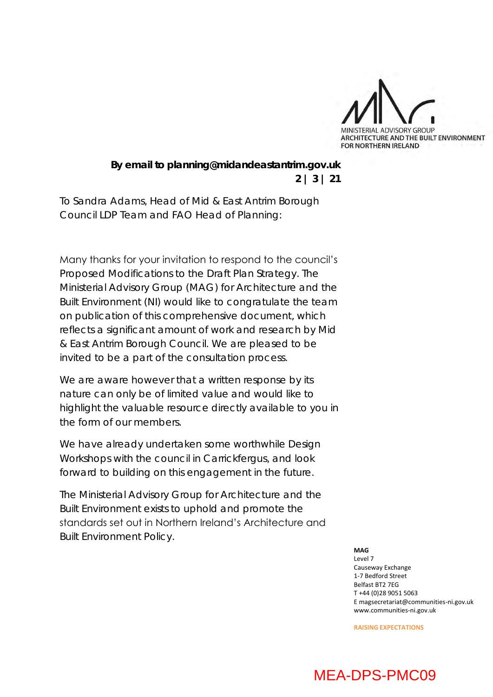

**By email to planning@midandeastantrim.gov.uk 2 | 3 | 21** 

To Sandra Adams, Head of Mid & East Antrim Borough Council LDP Team and FAO Head of Planning:

## Many thanks for your invitation to respond to the council's

Proposed Modifications to the Draft Plan Strategy. The Ministerial Advisory Group (MAG) for Architecture and the Built Environment (NI) would like to congratulate the team on publication of this comprehensive document, which reflects a significant amount of work and research by Mid & East Antrim Borough Council. We are pleased to be invited to be a part of the consultation process.

We are aware however that a written response by its nature can only be of limited value and would like to highlight the valuable resource directly available to you in the form of our members.

We have already undertaken some worthwhile Design Workshops with the council in Carrickfergus, and look forward to building on this engagement in the future.

The Ministerial Advisory Group for Architecture and the Built Environment exists to uphold and promote the standards set out in Northern Ireland's Architecture and Built Environment Policy.

## **MAG**

Level 7 Causeway Exchange 1-7 Bedford Street Belfast BT2 7EG T +44 (0)28 9051 5063 E magsecretariat@communities-ni.gov.uk www.communities-ni.gov.uk

**RAISING EXPECTATIONS**

## MEA-DPS-PMC09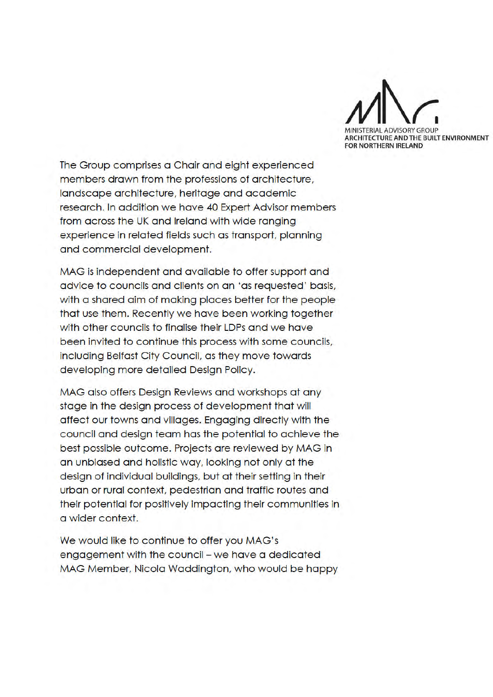

The Group comprises a Chair and eight experienced members drawn from the professions of architecture. landscape architecture, heritage and academic research. In addition we have 40 Expert Advisor members from across the UK and Ireland with wide ranging experience in related fields such as transport, planning and commercial development.

MAG is independent and available to offer support and advice to councils and clients on an 'as requested' basis, with a shared aim of making places better for the people that use them. Recently we have been working together with other councils to finalise their LDPs and we have been invited to continue this process with some councils. including Belfast City Council, as they move towards developing more detailed Design Policy.

MAG also offers Design Reviews and workshops at any stage in the design process of development that will affect our towns and villages. Engaging directly with the council and design team has the potential to achieve the best possible outcome. Projects are reviewed by MAG in an unbiased and holistic way, looking not only at the design of individual buildings, but at their setting in their urban or rural context, pedestrian and traffic routes and their potential for positively impacting their communities in a wider context.

We would like to continue to offer you MAG's engagement with the council - we have a dedicated MAG Member, Nicola Waddington, who would be happy